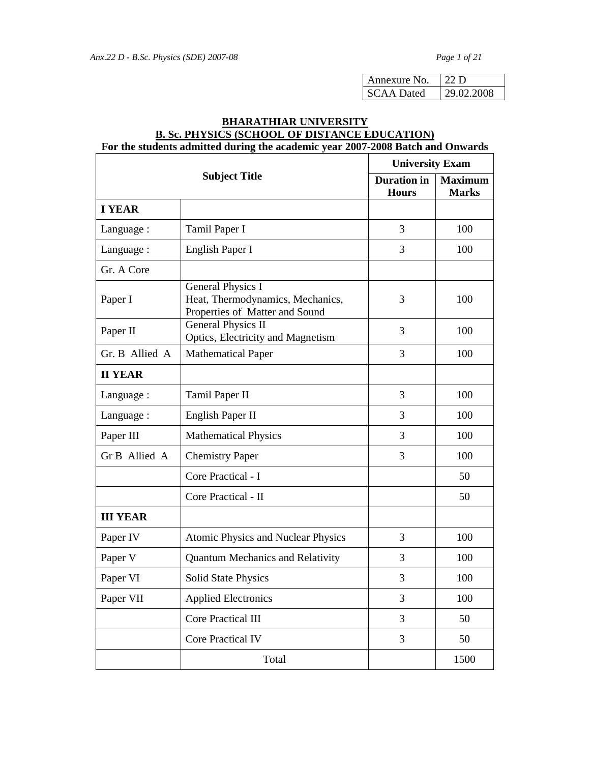| Annexure No.      | 22D        |
|-------------------|------------|
| <b>SCAA</b> Dated | 29.02.2008 |

# **BHARATHIAR UNIVERSITY B. Sc. PHYSICS (SCHOOL OF DISTANCE EDUCATION) For the students admitted during the academic year 2007-2008 Batch and Onwards**

| <b>Subject Title</b> |                                                                                         |                                    | <b>University Exam</b>         |  |
|----------------------|-----------------------------------------------------------------------------------------|------------------------------------|--------------------------------|--|
|                      |                                                                                         | <b>Duration</b> in<br><b>Hours</b> | <b>Maximum</b><br><b>Marks</b> |  |
| <b>I YEAR</b>        |                                                                                         |                                    |                                |  |
| Language:            | Tamil Paper I                                                                           | 3                                  | 100                            |  |
| Language:            | English Paper I                                                                         | 3                                  | 100                            |  |
| Gr. A Core           |                                                                                         |                                    |                                |  |
| Paper I              | General Physics I<br>Heat, Thermodynamics, Mechanics,<br>Properties of Matter and Sound | 3                                  | 100                            |  |
| Paper II             | <b>General Physics II</b><br>Optics, Electricity and Magnetism                          | 3                                  | 100                            |  |
| Gr. B Allied A       | <b>Mathematical Paper</b>                                                               | 3                                  | 100                            |  |
| <b>II YEAR</b>       |                                                                                         |                                    |                                |  |
| Language:            | Tamil Paper II                                                                          | 3                                  | 100                            |  |
| Language:            | English Paper II                                                                        | 3                                  | 100                            |  |
| Paper III            | <b>Mathematical Physics</b>                                                             | 3                                  | 100                            |  |
| Gr B Allied A        | <b>Chemistry Paper</b>                                                                  | 3                                  | 100                            |  |
|                      | Core Practical - I                                                                      |                                    | 50                             |  |
|                      | Core Practical - II                                                                     |                                    | 50                             |  |
| <b>III YEAR</b>      |                                                                                         |                                    |                                |  |
| Paper IV             | Atomic Physics and Nuclear Physics                                                      | 3                                  | 100                            |  |
| Paper V              | <b>Quantum Mechanics and Relativity</b>                                                 | 3                                  | 100                            |  |
| Paper VI             | <b>Solid State Physics</b>                                                              | 3                                  | 100                            |  |
| Paper VII            | <b>Applied Electronics</b>                                                              | 3                                  | 100                            |  |
|                      | <b>Core Practical III</b>                                                               | 3                                  | 50                             |  |
|                      | <b>Core Practical IV</b>                                                                | 3                                  | 50                             |  |
|                      | Total                                                                                   |                                    | 1500                           |  |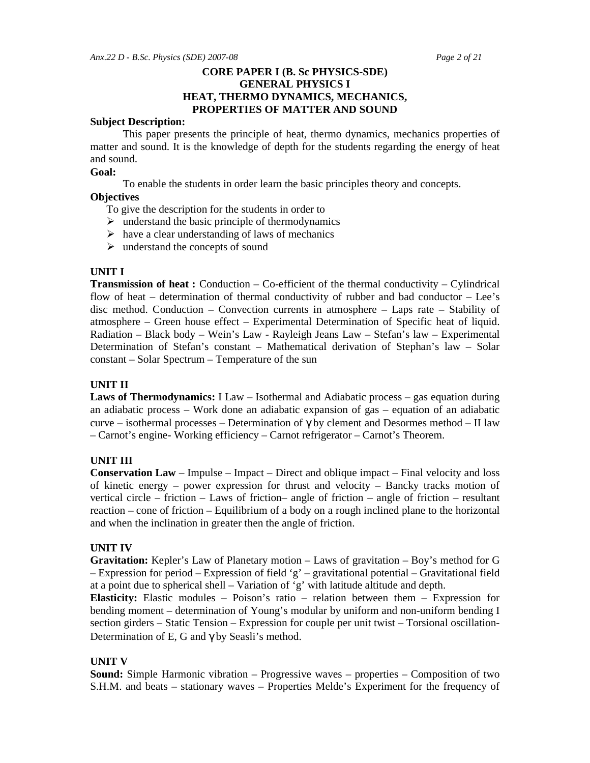# **CORE PAPER I (B. Sc PHYSICS-SDE) GENERAL PHYSICS I HEAT, THERMO DYNAMICS, MECHANICS, PROPERTIES OF MATTER AND SOUND**

#### **Subject Description:**

This paper presents the principle of heat, thermo dynamics, mechanics properties of matter and sound. It is the knowledge of depth for the students regarding the energy of heat and sound.

### **Goal:**

To enable the students in order learn the basic principles theory and concepts.

#### **Objectives**

To give the description for the students in order to

- $\triangleright$  understand the basic principle of thermodynamics
- $\triangleright$  have a clear understanding of laws of mechanics
- $\triangleright$  understand the concepts of sound

#### **UNIT I**

**Transmission of heat :** Conduction – Co-efficient of the thermal conductivity – Cylindrical flow of heat – determination of thermal conductivity of rubber and bad conductor – Lee's disc method. Conduction – Convection currents in atmosphere – Laps rate – Stability of atmosphere – Green house effect – Experimental Determination of Specific heat of liquid. Radiation – Black body – Wein's Law - Rayleigh Jeans Law – Stefan's law – Experimental Determination of Stefan's constant – Mathematical derivation of Stephan's law – Solar constant – Solar Spectrum – Temperature of the sun

#### **UNIT II**

**Laws of Thermodynamics:** I Law – Isothermal and Adiabatic process – gas equation during an adiabatic process – Work done an adiabatic expansion of gas – equation of an adiabatic curve – isothermal processes – Determination of γ by clement and Desormes method – II law – Carnot's engine- Working efficiency – Carnot refrigerator – Carnot's Theorem.

#### **UNIT III**

**Conservation Law** – Impulse – Impact – Direct and oblique impact – Final velocity and loss of kinetic energy – power expression for thrust and velocity – Bancky tracks motion of vertical circle – friction – Laws of friction– angle of friction – angle of friction – resultant reaction – cone of friction – Equilibrium of a body on a rough inclined plane to the horizontal and when the inclination in greater then the angle of friction.

#### **UNIT IV**

**Gravitation:** Kepler's Law of Planetary motion – Laws of gravitation – Boy's method for G – Expression for period – Expression of field 'g' – gravitational potential – Gravitational field at a point due to spherical shell – Variation of  $g'$  with latitude altitude and depth.

**Elasticity:** Elastic modules – Poison's ratio – relation between them – Expression for bending moment – determination of Young's modular by uniform and non-uniform bending I section girders – Static Tension – Expression for couple per unit twist – Torsional oscillation-Determination of E, G and γ by Seasli's method.

### **UNIT V**

**Sound:** Simple Harmonic vibration – Progressive waves – properties – Composition of two S.H.M. and beats – stationary waves – Properties Melde's Experiment for the frequency of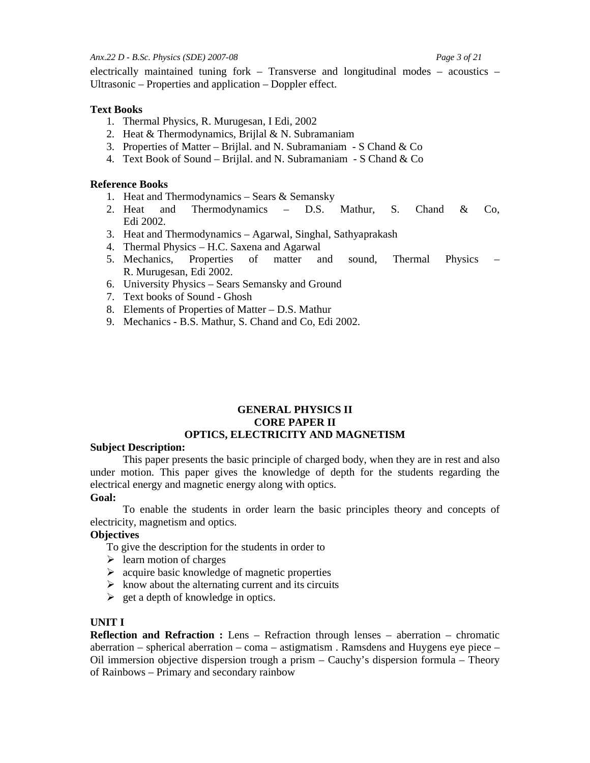#### *Anx.22 D - B.Sc. Physics (SDE) 2007-08 Page 3 of 21*

electrically maintained tuning fork – Transverse and longitudinal modes – acoustics – Ultrasonic – Properties and application – Doppler effect.

## **Text Books**

- 1. Thermal Physics, R. Murugesan, I Edi, 2002
- 2. Heat & Thermodynamics, Brijlal & N. Subramaniam
- 3. Properties of Matter Brijlal. and N. Subramaniam S Chand  $& Co$
- 4. Text Book of Sound Brijlal. and N. Subramaniam S Chand & Co

## **Reference Books**

- 1. Heat and Thermodynamics Sears & Semansky
- 2. Heat and Thermodynamics D.S. Mathur, S. Chand & Co, Edi 2002.
- 3. Heat and Thermodynamics Agarwal, Singhal, Sathyaprakash
- 4. Thermal Physics H.C. Saxena and Agarwal
- 5. Mechanics, Properties of matter and sound, Thermal Physics R. Murugesan, Edi 2002.
- 6. University Physics Sears Semansky and Ground
- 7. Text books of Sound Ghosh
- 8. Elements of Properties of Matter D.S. Mathur
- 9. Mechanics B.S. Mathur, S. Chand and Co, Edi 2002.

# **GENERAL PHYSICS II CORE PAPER II OPTICS, ELECTRICITY AND MAGNETISM**

# **Subject Description:**

This paper presents the basic principle of charged body, when they are in rest and also under motion. This paper gives the knowledge of depth for the students regarding the electrical energy and magnetic energy along with optics.

# **Goal:**

To enable the students in order learn the basic principles theory and concepts of electricity, magnetism and optics.

# **Objectives**

To give the description for the students in order to

- $\triangleright$  learn motion of charges
- $\triangleright$  acquire basic knowledge of magnetic properties
- $\triangleright$  know about the alternating current and its circuits
- $\geq$  get a depth of knowledge in optics.

# **UNIT I**

**Reflection and Refraction :** Lens – Refraction through lenses – aberration – chromatic aberration – spherical aberration – coma – astigmatism. Ramsdens and Huygens eye piece – Oil immersion objective dispersion trough a prism – Cauchy's dispersion formula – Theory of Rainbows – Primary and secondary rainbow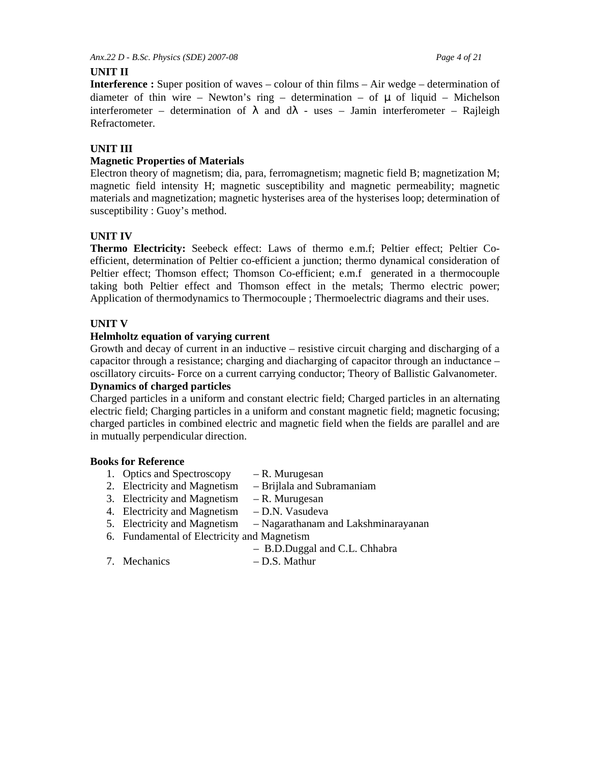*Anx.22 D - B.Sc. Physics (SDE) 2007-08 Page 4 of 21* 

# **UNIT II**

**Interference :** Super position of waves – colour of thin films – Air wedge – determination of diameter of thin wire – Newton's ring – determination – of  $\mu$  of liquid – Michelson interferometer – determination of  $\lambda$  and  $d\lambda$  - uses – Jamin interferometer – Rajleigh Refractometer.

# **UNIT III**

# **Magnetic Properties of Materials**

Electron theory of magnetism; dia, para, ferromagnetism; magnetic field B; magnetization M; magnetic field intensity H; magnetic susceptibility and magnetic permeability; magnetic materials and magnetization; magnetic hysterises area of the hysterises loop; determination of susceptibility : Guoy's method.

# **UNIT IV**

**Thermo Electricity:** Seebeck effect: Laws of thermo e.m.f; Peltier effect; Peltier Coefficient, determination of Peltier co-efficient a junction; thermo dynamical consideration of Peltier effect; Thomson effect; Thomson Co-efficient; e.m.f generated in a thermocouple taking both Peltier effect and Thomson effect in the metals; Thermo electric power; Application of thermodynamics to Thermocouple ; Thermoelectric diagrams and their uses.

# **UNIT V**

# **Helmholtz equation of varying current**

Growth and decay of current in an inductive – resistive circuit charging and discharging of a capacitor through a resistance; charging and diacharging of capacitor through an inductance – oscillatory circuits- Force on a current carrying conductor; Theory of Ballistic Galvanometer.

# **Dynamics of charged particles**

Charged particles in a uniform and constant electric field; Charged particles in an alternating electric field; Charging particles in a uniform and constant magnetic field; magnetic focusing; charged particles in combined electric and magnetic field when the fields are parallel and are in mutually perpendicular direction.

# **Books for Reference**

- 1. Optics and Spectroscopy R. Murugesan
- 2. Electricity and Magnetism Brijlala and Subramaniam
- 3. Electricity and Magnetism R. Murugesan
- 4. Electricity and Magnetism D.N. Vasudeva
- 5. Electricity and Magnetism Nagarathanam and Lakshminarayanan
- 6. Fundamental of Electricity and Magnetism
- B.D.Duggal and C.L. Chhabra
	-
- 7. Mechanics D.S. Mathur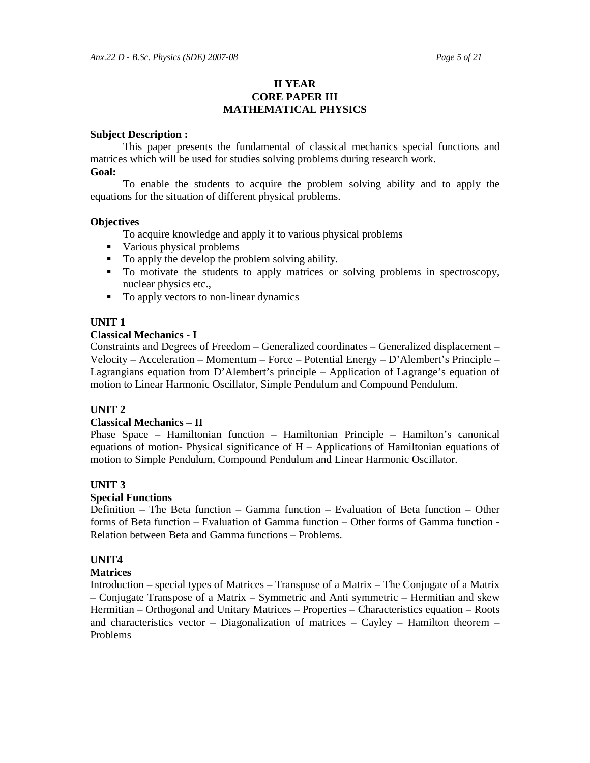# **II YEAR CORE PAPER III MATHEMATICAL PHYSICS**

#### **Subject Description :**

 This paper presents the fundamental of classical mechanics special functions and matrices which will be used for studies solving problems during research work. **Goal:** 

 To enable the students to acquire the problem solving ability and to apply the equations for the situation of different physical problems.

### **Objectives**

To acquire knowledge and apply it to various physical problems

- Various physical problems
- To apply the develop the problem solving ability.
- To motivate the students to apply matrices or solving problems in spectroscopy, nuclear physics etc.,
- To apply vectors to non-linear dynamics

# **UNIT 1**

### **Classical Mechanics - I**

Constraints and Degrees of Freedom – Generalized coordinates – Generalized displacement – Velocity – Acceleration – Momentum – Force – Potential Energy – D'Alembert's Principle – Lagrangians equation from D'Alembert's principle – Application of Lagrange's equation of motion to Linear Harmonic Oscillator, Simple Pendulum and Compound Pendulum.

# **UNIT 2**

# **Classical Mechanics – II**

Phase Space – Hamiltonian function – Hamiltonian Principle – Hamilton's canonical equations of motion- Physical significance of  $H -$  Applications of Hamiltonian equations of motion to Simple Pendulum, Compound Pendulum and Linear Harmonic Oscillator.

# **UNIT 3**

# **Special Functions**

Definition – The Beta function – Gamma function – Evaluation of Beta function – Other forms of Beta function – Evaluation of Gamma function – Other forms of Gamma function - Relation between Beta and Gamma functions – Problems.

# **UNIT4**

# **Matrices**

Introduction – special types of Matrices – Transpose of a Matrix – The Conjugate of a Matrix – Conjugate Transpose of a Matrix – Symmetric and Anti symmetric – Hermitian and skew Hermitian – Orthogonal and Unitary Matrices – Properties – Characteristics equation – Roots and characteristics vector – Diagonalization of matrices – Cayley – Hamilton theorem – Problems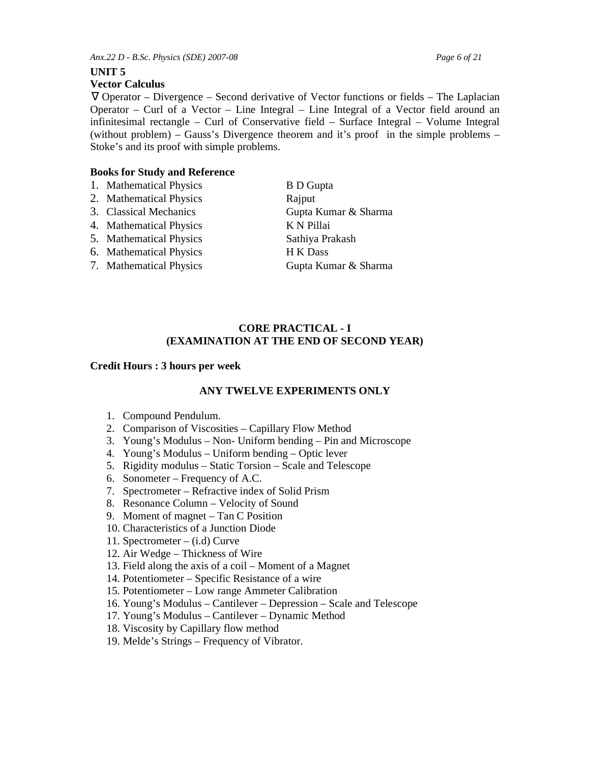*Anx.22 D - B.Sc. Physics (SDE) 2007-08 Page 6 of 21* 

# **UNIT 5**

# **Vector Calculus**

∇ Operator – Divergence – Second derivative of Vector functions or fields – The Laplacian Operator – Curl of a Vector – Line Integral – Line Integral of a Vector field around an infinitesimal rectangle – Curl of Conservative field – Surface Integral – Volume Integral (without problem) – Gauss's Divergence theorem and it's proof in the simple problems – Stoke's and its proof with simple problems.

# **Books for Study and Reference**

- 1. Mathematical Physics B D Gupta
- 2. Mathematical Physics Rajput
- 
- 4. Mathematical Physics K N Pillai
- 5. Mathematical Physics Sathiya Prakash
- 6. Mathematical Physics H K Dass
- 7. Mathematical Physics Gupta Kumar & Sharma

3. Classical Mechanics Gupta Kumar & Sharma

# **CORE PRACTICAL - I (EXAMINATION AT THE END OF SECOND YEAR)**

# **Credit Hours : 3 hours per week**

# **ANY TWELVE EXPERIMENTS ONLY**

- 1. Compound Pendulum.
- 2. Comparison of Viscosities Capillary Flow Method
- 3. Young's Modulus Non- Uniform bending Pin and Microscope
- 4. Young's Modulus Uniform bending Optic lever
- 5. Rigidity modulus Static Torsion Scale and Telescope
- 6. Sonometer Frequency of A.C.
- 7. Spectrometer Refractive index of Solid Prism
- 8. Resonance Column Velocity of Sound
- 9. Moment of magnet Tan C Position
- 10. Characteristics of a Junction Diode
- 11. Spectrometer (i.d) Curve
- 12. Air Wedge Thickness of Wire
- 13. Field along the axis of a coil Moment of a Magnet
- 14. Potentiometer Specific Resistance of a wire
- 15. Potentiometer Low range Ammeter Calibration
- 16. Young's Modulus Cantilever Depression Scale and Telescope
- 17. Young's Modulus Cantilever Dynamic Method
- 18. Viscosity by Capillary flow method
- 19. Melde's Strings Frequency of Vibrator.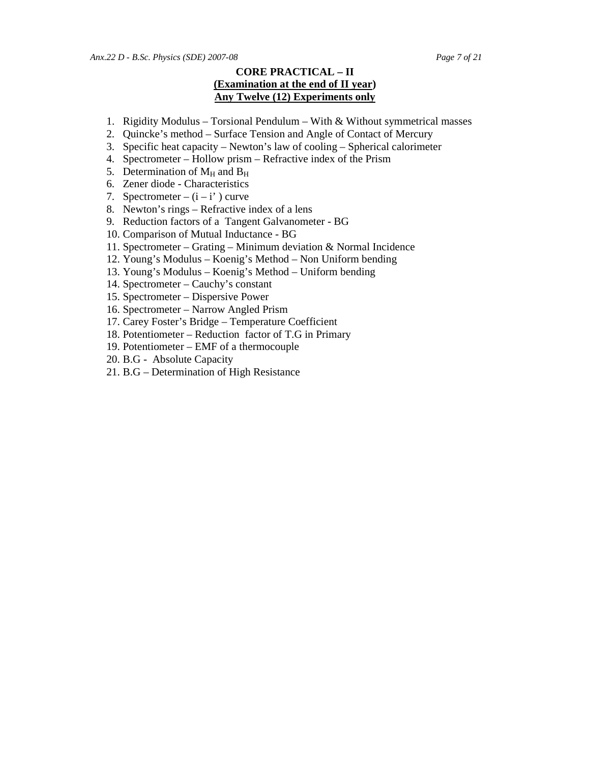# **CORE PRACTICAL – II (Examination at the end of II year) Any Twelve (12) Experiments only**

- 1. Rigidity Modulus Torsional Pendulum With & Without symmetrical masses
- 2. Quincke's method Surface Tension and Angle of Contact of Mercury
- 3. Specific heat capacity Newton's law of cooling Spherical calorimeter
- 4. Spectrometer Hollow prism Refractive index of the Prism
- 5. Determination of  $M_H$  and  $B_H$
- 6. Zener diode Characteristics
- 7. Spectrometer  $(i i')$  curve
- 8. Newton's rings Refractive index of a lens
- 9. Reduction factors of a Tangent Galvanometer BG
- 10. Comparison of Mutual Inductance BG
- 11. Spectrometer Grating Minimum deviation & Normal Incidence
- 12. Young's Modulus Koenig's Method Non Uniform bending
- 13. Young's Modulus Koenig's Method Uniform bending
- 14. Spectrometer Cauchy's constant
- 15. Spectrometer Dispersive Power
- 16. Spectrometer Narrow Angled Prism
- 17. Carey Foster's Bridge Temperature Coefficient
- 18. Potentiometer Reduction factor of T.G in Primary
- 19. Potentiometer EMF of a thermocouple
- 20. B.G Absolute Capacity
- 21. B.G Determination of High Resistance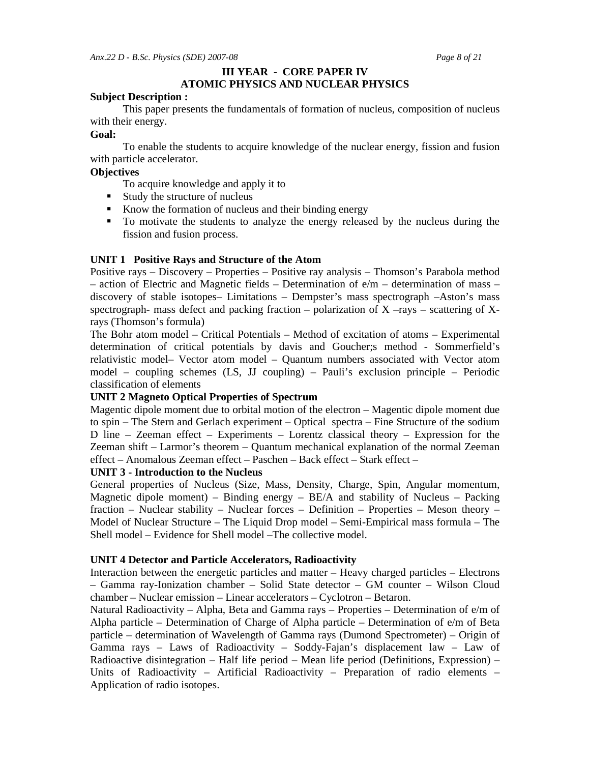# **III YEAR - CORE PAPER IV ATOMIC PHYSICS AND NUCLEAR PHYSICS**

#### **Subject Description :**

 This paper presents the fundamentals of formation of nucleus, composition of nucleus with their energy.

#### **Goal:**

 To enable the students to acquire knowledge of the nuclear energy, fission and fusion with particle accelerator.

### **Objectives**

To acquire knowledge and apply it to

- **Study the structure of nucleus**
- Know the formation of nucleus and their binding energy
- To motivate the students to analyze the energy released by the nucleus during the fission and fusion process.

# **UNIT 1 Positive Rays and Structure of the Atom**

Positive rays – Discovery – Properties – Positive ray analysis – Thomson's Parabola method – action of Electric and Magnetic fields – Determination of  $e/m$  – determination of mass – discovery of stable isotopes– Limitations – Dempster's mass spectrograph –Aston's mass spectrograph- mass defect and packing fraction – polarization of  $X$  –rays – scattering of  $X$ rays (Thomson's formula)

The Bohr atom model – Critical Potentials – Method of excitation of atoms – Experimental determination of critical potentials by davis and Goucher;s method - Sommerfield's relativistic model– Vector atom model – Quantum numbers associated with Vector atom model – coupling schemes (LS, JJ coupling) – Pauli's exclusion principle – Periodic classification of elements

# **UNIT 2 Magneto Optical Properties of Spectrum**

Magentic dipole moment due to orbital motion of the electron – Magentic dipole moment due to spin – The Stern and Gerlach experiment – Optical spectra – Fine Structure of the sodium D line – Zeeman effect – Experiments – Lorentz classical theory – Expression for the Zeeman shift – Larmor's theorem – Quantum mechanical explanation of the normal Zeeman effect – Anomalous Zeeman effect – Paschen – Back effect – Stark effect –

### **UNIT 3 - Introduction to the Nucleus**

General properties of Nucleus (Size, Mass, Density, Charge, Spin, Angular momentum, Magnetic dipole moment) – Binding energy – BE/A and stability of Nucleus – Packing fraction – Nuclear stability – Nuclear forces – Definition – Properties – Meson theory – Model of Nuclear Structure – The Liquid Drop model – Semi-Empirical mass formula – The Shell model – Evidence for Shell model –The collective model.

#### **UNIT 4 Detector and Particle Accelerators, Radioactivity**

Interaction between the energetic particles and matter – Heavy charged particles – Electrons – Gamma ray-Ionization chamber – Solid State detector – GM counter – Wilson Cloud chamber – Nuclear emission – Linear accelerators – Cyclotron – Betaron.

Natural Radioactivity – Alpha, Beta and Gamma rays – Properties – Determination of e/m of Alpha particle – Determination of Charge of Alpha particle – Determination of e/m of Beta particle – determination of Wavelength of Gamma rays (Dumond Spectrometer) – Origin of Gamma rays – Laws of Radioactivity – Soddy-Fajan's displacement law – Law of Radioactive disintegration – Half life period – Mean life period (Definitions, Expression) – Units of Radioactivity – Artificial Radioactivity – Preparation of radio elements – Application of radio isotopes.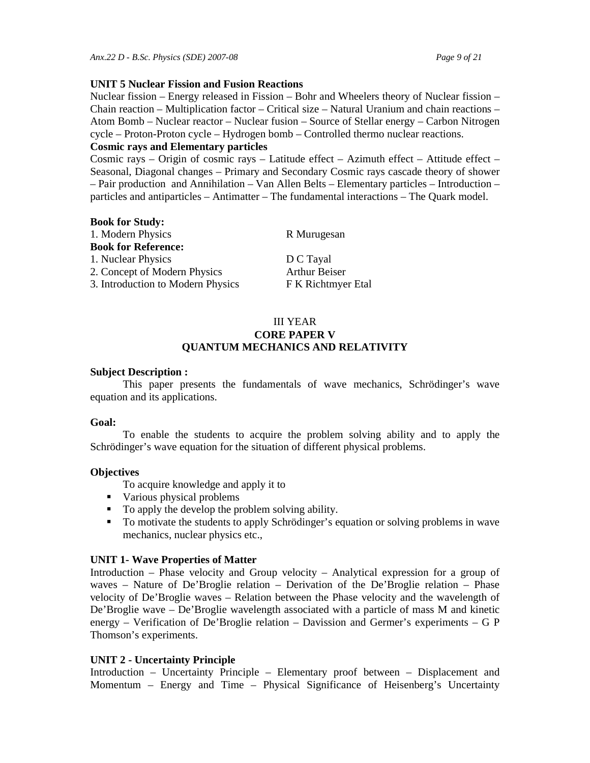#### **UNIT 5 Nuclear Fission and Fusion Reactions**

Nuclear fission – Energy released in Fission – Bohr and Wheelers theory of Nuclear fission – Chain reaction – Multiplication factor – Critical size – Natural Uranium and chain reactions – Atom Bomb – Nuclear reactor – Nuclear fusion – Source of Stellar energy – Carbon Nitrogen cycle – Proton-Proton cycle – Hydrogen bomb – Controlled thermo nuclear reactions.

### **Cosmic rays and Elementary particles**

Cosmic rays – Origin of cosmic rays – Latitude effect – Azimuth effect – Attitude effect – Seasonal, Diagonal changes – Primary and Secondary Cosmic rays cascade theory of shower – Pair production and Annihilation – Van Allen Belts – Elementary particles – Introduction – particles and antiparticles – Antimatter – The fundamental interactions – The Quark model.

| <b>Book for Study:</b>            |                      |
|-----------------------------------|----------------------|
| 1. Modern Physics                 | R Murugesan          |
| <b>Book for Reference:</b>        |                      |
| 1. Nuclear Physics                | D C Tayal            |
| 2. Concept of Modern Physics      | <b>Arthur Beiser</b> |
| 3. Introduction to Modern Physics | F K Richtmyer Etal   |

# III YEAR **CORE PAPER V QUANTUM MECHANICS AND RELATIVITY**

### **Subject Description :**

 This paper presents the fundamentals of wave mechanics, Schrödinger's wave equation and its applications.

#### **Goal:**

 To enable the students to acquire the problem solving ability and to apply the Schrödinger's wave equation for the situation of different physical problems.

# **Objectives**

To acquire knowledge and apply it to

- Various physical problems
- To apply the develop the problem solving ability.
- To motivate the students to apply Schrödinger's equation or solving problems in wave mechanics, nuclear physics etc.,

# **UNIT 1- Wave Properties of Matter**

Introduction – Phase velocity and Group velocity – Analytical expression for a group of waves – Nature of De'Broglie relation – Derivation of the De'Broglie relation – Phase velocity of De'Broglie waves – Relation between the Phase velocity and the wavelength of De'Broglie wave – De'Broglie wavelength associated with a particle of mass M and kinetic energy – Verification of De'Broglie relation – Davission and Germer's experiments – G P Thomson's experiments.

# **UNIT 2 - Uncertainty Principle**

Introduction – Uncertainty Principle – Elementary proof between – Displacement and Momentum – Energy and Time – Physical Significance of Heisenberg's Uncertainty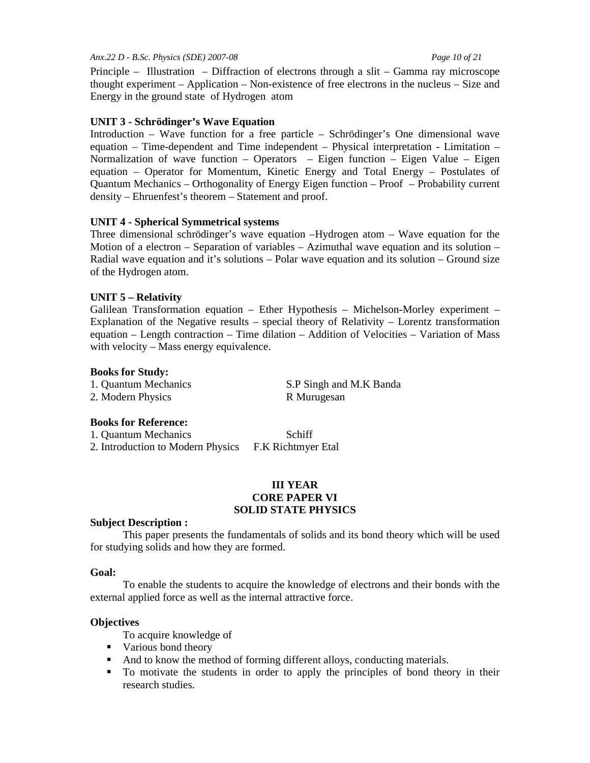### *Anx.22 D - B.Sc. Physics (SDE) 2007-08 Page 10 of 21*

Principle – Illustration – Diffraction of electrons through a slit – Gamma ray microscope thought experiment – Application – Non-existence of free electrons in the nucleus – Size and Energy in the ground state of Hydrogen atom

# **UNIT 3 - Schrödinger's Wave Equation**

Introduction – Wave function for a free particle – Schrödinger's One dimensional wave equation – Time-dependent and Time independent – Physical interpretation - Limitation – Normalization of wave function – Operators – Eigen function – Eigen Value – Eigen equation – Operator for Momentum, Kinetic Energy and Total Energy – Postulates of Quantum Mechanics – Orthogonality of Energy Eigen function – Proof – Probability current density – Ehruenfest's theorem – Statement and proof.

# **UNIT 4 - Spherical Symmetrical systems**

Three dimensional schrödinger's wave equation –Hydrogen atom – Wave equation for the Motion of a electron – Separation of variables – Azimuthal wave equation and its solution – Radial wave equation and it's solutions – Polar wave equation and its solution – Ground size of the Hydrogen atom.

# **UNIT 5 – Relativity**

Galilean Transformation equation – Ether Hypothesis – Michelson-Morley experiment – Explanation of the Negative results – special theory of Relativity – Lorentz transformation equation – Length contraction – Time dilation – Addition of Velocities – Variation of Mass with velocity – Mass energy equivalence.

### **Books for Study:**

| 1. Quantum Mechanics | S.P Singh and M.K Banda |
|----------------------|-------------------------|
| 2. Modern Physics    | R Murugesan             |

# **Books for Reference:**

1. Quantum Mechanics Schiff 2. Introduction to Modern Physics F.K Richtmyer Etal

#### **III YEAR CORE PAPER VI SOLID STATE PHYSICS**

#### **Subject Description :**

 This paper presents the fundamentals of solids and its bond theory which will be used for studying solids and how they are formed.

#### **Goal:**

 To enable the students to acquire the knowledge of electrons and their bonds with the external applied force as well as the internal attractive force.

#### **Objectives**

- To acquire knowledge of
- Various bond theory
- And to know the method of forming different alloys, conducting materials.
- To motivate the students in order to apply the principles of bond theory in their research studies.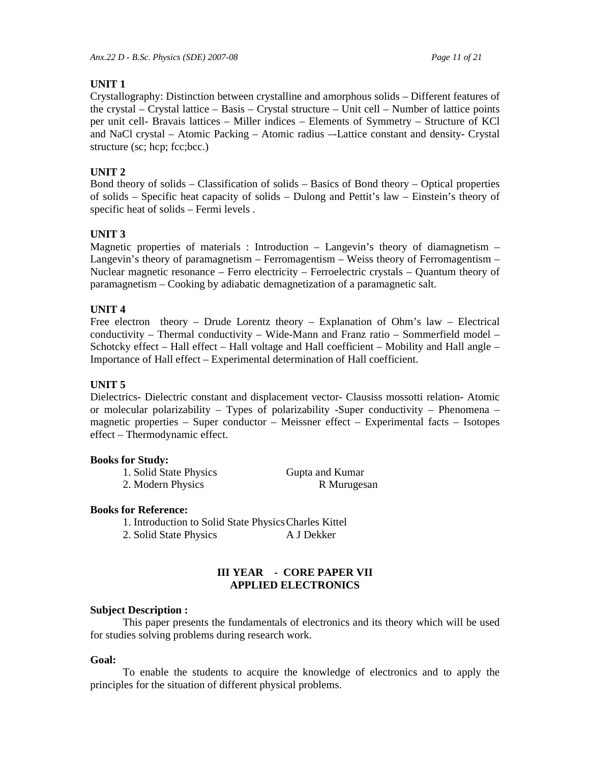# **UNIT 1**

Crystallography: Distinction between crystalline and amorphous solids – Different features of the crystal – Crystal lattice – Basis – Crystal structure – Unit cell – Number of lattice points per unit cell- Bravais lattices – Miller indices – Elements of Symmetry – Structure of KCl and NaCl crystal – Atomic Packing – Atomic radius –-Lattice constant and density- Crystal structure (sc; hcp; fcc;bcc.)

# **UNIT 2**

Bond theory of solids – Classification of solids – Basics of Bond theory – Optical properties of solids – Specific heat capacity of solids – Dulong and Pettit's law – Einstein's theory of specific heat of solids – Fermi levels .

# **UNIT 3**

Magnetic properties of materials : Introduction – Langevin's theory of diamagnetism – Langevin's theory of paramagnetism – Ferromagentism – Weiss theory of Ferromagentism – Nuclear magnetic resonance – Ferro electricity – Ferroelectric crystals – Quantum theory of paramagnetism – Cooking by adiabatic demagnetization of a paramagnetic salt.

# **UNIT 4**

Free electron theory – Drude Lorentz theory – Explanation of Ohm's law – Electrical conductivity – Thermal conductivity – Wide-Mann and Franz ratio – Sommerfield model – Schotcky effect – Hall effect – Hall voltage and Hall coefficient – Mobility and Hall angle – Importance of Hall effect – Experimental determination of Hall coefficient.

# **UNIT 5**

Dielectrics- Dielectric constant and displacement vector- Clausiss mossotti relation- Atomic or molecular polarizability – Types of polarizability -Super conductivity – Phenomena – magnetic properties – Super conductor – Meissner effect – Experimental facts – Isotopes effect – Thermodynamic effect.

# **Books for Study:**

1. Solid State Physics Gupta and Kumar 2. Modern Physics R Murugesan

# **Books for Reference:**

1. Introduction to Solid State Physics Charles Kittel 2. Solid State Physics A J Dekker

**III YEAR - CORE PAPER VII** 

# **APPLIED ELECTRONICS**

# **Subject Description :**

 This paper presents the fundamentals of electronics and its theory which will be used for studies solving problems during research work.

# **Goal:**

 To enable the students to acquire the knowledge of electronics and to apply the principles for the situation of different physical problems.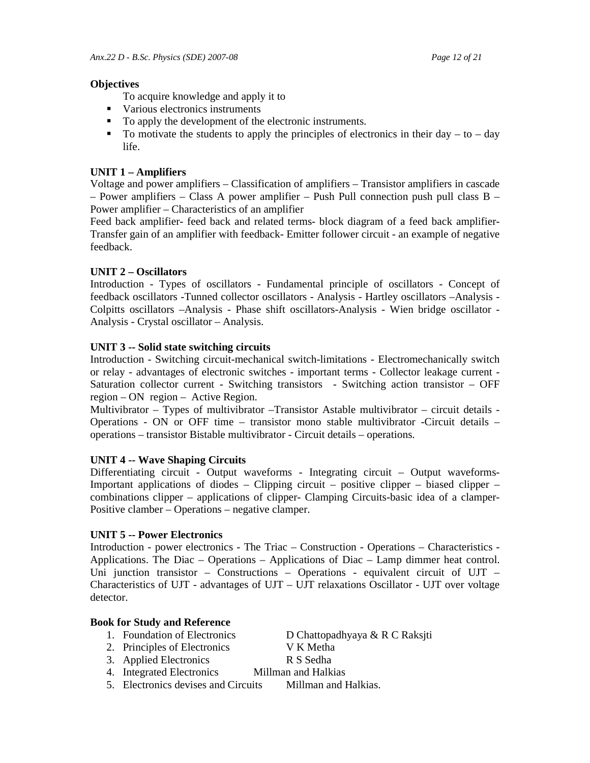# **Objectives**

To acquire knowledge and apply it to

- Various electronics instruments
- To apply the development of the electronic instruments.
- $\blacksquare$  To motivate the students to apply the principles of electronics in their day to day life.

# **UNIT 1 – Amplifiers**

Voltage and power amplifiers – Classification of amplifiers – Transistor amplifiers in cascade  $-$  Power amplifiers  $-$  Class A power amplifier  $-$  Push Pull connection push pull class B  $-$ Power amplifier – Characteristics of an amplifier

Feed back amplifier- feed back and related terms- block diagram of a feed back amplifier-Transfer gain of an amplifier with feedback- Emitter follower circuit - an example of negative feedback.

# **UNIT 2 – Oscillators**

Introduction - Types of oscillators - Fundamental principle of oscillators - Concept of feedback oscillators -Tunned collector oscillators - Analysis - Hartley oscillators –Analysis - Colpitts oscillators –Analysis - Phase shift oscillators-Analysis - Wien bridge oscillator - Analysis - Crystal oscillator – Analysis.

# **UNIT 3 -- Solid state switching circuits**

Introduction - Switching circuit-mechanical switch-limitations - Electromechanically switch or relay - advantages of electronic switches - important terms - Collector leakage current - Saturation collector current - Switching transistors - Switching action transistor – OFF region – ON region – Active Region.

Multivibrator – Types of multivibrator –Transistor Astable multivibrator – circuit details - Operations - ON or OFF time – transistor mono stable multivibrator -Circuit details – operations – transistor Bistable multivibrator - Circuit details – operations.

# **UNIT 4 -- Wave Shaping Circuits**

Differentiating circuit - Output waveforms - Integrating circuit – Output waveforms-Important applications of diodes – Clipping circuit – positive clipper – biased clipper – combinations clipper – applications of clipper- Clamping Circuits-basic idea of a clamper-Positive clamber – Operations – negative clamper.

# **UNIT 5 -- Power Electronics**

Introduction - power electronics - The Triac – Construction - Operations – Characteristics - Applications. The Diac – Operations – Applications of Diac – Lamp dimmer heat control. Uni junction transistor – Constructions – Operations - equivalent circuit of UJT – Characteristics of UJT - advantages of UJT – UJT relaxations Oscillator - UJT over voltage detector.

# **Book for Study and Reference**

- 1. Foundation of Electronics D Chattopadhyaya & R C Raksjti
- 2. Principles of Electronics V K Metha
- 3. Applied Electronics R S Sedha

- 4. Integrated Electronics Millman and Halkias
- 5. Electronics devises and Circuits Millman and Halkias.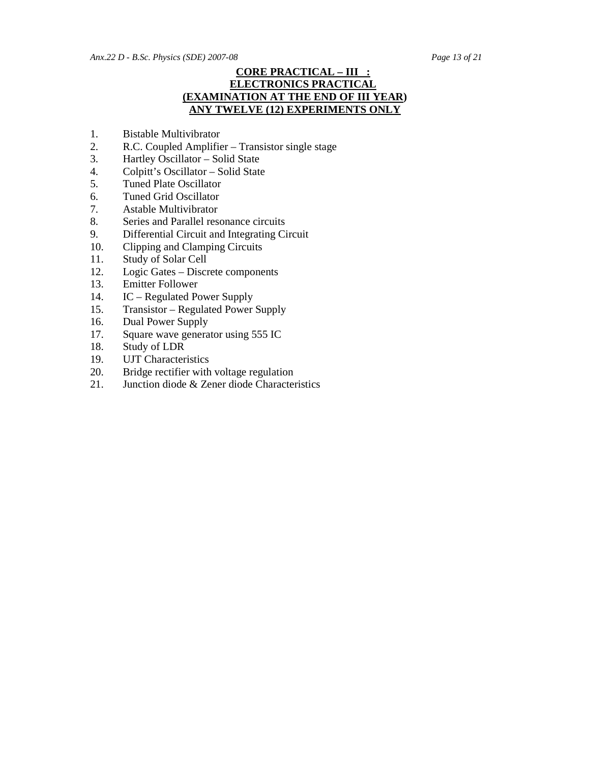# **CORE PRACTICAL – III : ELECTRONICS PRACTICAL (EXAMINATION AT THE END OF III YEAR) ANY TWELVE (12) EXPERIMENTS ONLY**

- 1. Bistable Multivibrator
- 2. R.C. Coupled Amplifier Transistor single stage<br>3. Hartley Oscillator Solid State
- Hartley Oscillator Solid State
- 4. Colpitt's Oscillator Solid State
- 5. Tuned Plate Oscillator
- 6. Tuned Grid Oscillator
- 7. Astable Multivibrator
- 8. Series and Parallel resonance circuits
- 9. Differential Circuit and Integrating Circuit
- 10. Clipping and Clamping Circuits
- 11. Study of Solar Cell
- 12. Logic Gates Discrete components
- 13. Emitter Follower
- 14. IC Regulated Power Supply
- 15. Transistor Regulated Power Supply
- 16. Dual Power Supply
- 17. Square wave generator using 555 IC
- 18. Study of LDR
- 19. UJT Characteristics
- 20. Bridge rectifier with voltage regulation
- 21. Junction diode & Zener diode Characteristics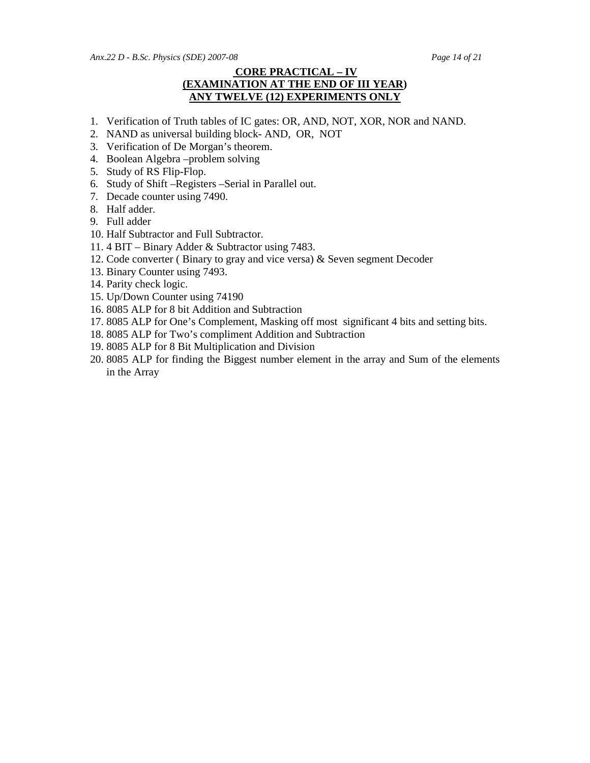*Anx.22 D - B.Sc. Physics (SDE) 2007-08 Page 14 of 21* 

# **CORE PRACTICAL – IV (EXAMINATION AT THE END OF III YEAR) ANY TWELVE (12) EXPERIMENTS ONLY**

- 1. Verification of Truth tables of IC gates: OR, AND, NOT, XOR, NOR and NAND.
- 2. NAND as universal building block- AND, OR, NOT
- 3. Verification of De Morgan's theorem.
- 4. Boolean Algebra –problem solving
- 5. Study of RS Flip-Flop.
- 6. Study of Shift –Registers –Serial in Parallel out.
- 7. Decade counter using 7490.
- 8. Half adder.
- 9. Full adder
- 10. Half Subtractor and Full Subtractor.
- 11. 4 BIT Binary Adder & Subtractor using 7483.
- 12. Code converter ( Binary to gray and vice versa) & Seven segment Decoder
- 13. Binary Counter using 7493.
- 14. Parity check logic.
- 15. Up/Down Counter using 74190
- 16. 8085 ALP for 8 bit Addition and Subtraction
- 17. 8085 ALP for One's Complement, Masking off most significant 4 bits and setting bits.
- 18. 8085 ALP for Two's compliment Addition and Subtraction
- 19. 8085 ALP for 8 Bit Multiplication and Division
- 20. 8085 ALP for finding the Biggest number element in the array and Sum of the elements in the Array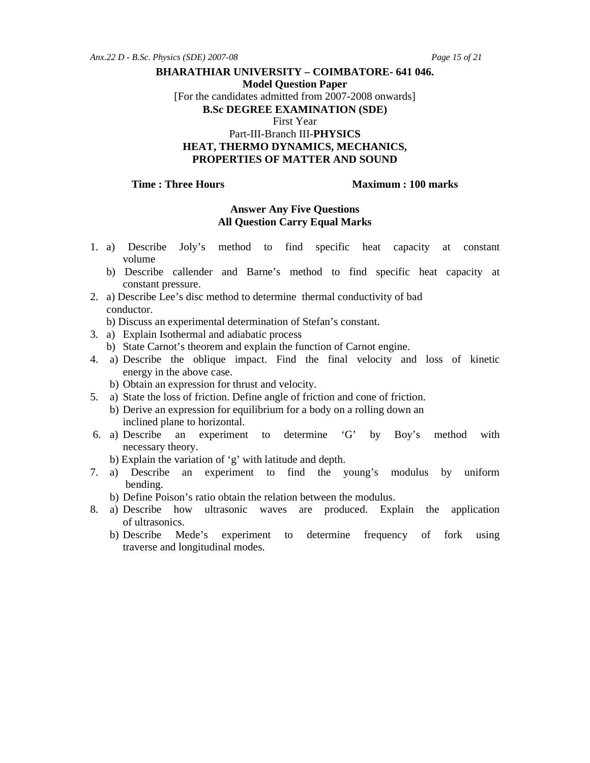**Model Question Paper** 

[For the candidates admitted from 2007-2008 onwards]

**B.Sc DEGREE EXAMINATION (SDE)** 

First Year

# Part-III-Branch III-**PHYSICS HEAT, THERMO DYNAMICS, MECHANICS, PROPERTIES OF MATTER AND SOUND**

#### **Time : Three Hours**  Maximum : 100 marks

### **Answer Any Five Questions All Question Carry Equal Marks**

- 1. a) Describe Joly's method to find specific heat capacity at constant volume
	- b) Describe callender and Barne's method to find specific heat capacity at constant pressure.
- 2. a) Describe Lee's disc method to determine thermal conductivity of bad conductor.
	- b) Discuss an experimental determination of Stefan's constant.
- 3. a) Explain Isothermal and adiabatic process
	- b) State Carnot's theorem and explain the function of Carnot engine.
- 4. a) Describe the oblique impact. Find the final velocity and loss of kinetic energy in the above case.
	- b) Obtain an expression for thrust and velocity.
- 5. a) State the loss of friction. Define angle of friction and cone of friction.
	- b) Derive an expression for equilibrium for a body on a rolling down an inclined plane to horizontal.
- 6. a) Describe an experiment to determine 'G' by Boy's method with necessary theory.
	- b) Explain the variation of 'g' with latitude and depth.
- 7. a) Describe an experiment to find the young's modulus by uniform bending.
	- b) Define Poison's ratio obtain the relation between the modulus.
- 8. a) Describe how ultrasonic waves are produced. Explain the application of ultrasonics.
	- b) Describe Mede's experiment to determine frequency of fork using traverse and longitudinal modes.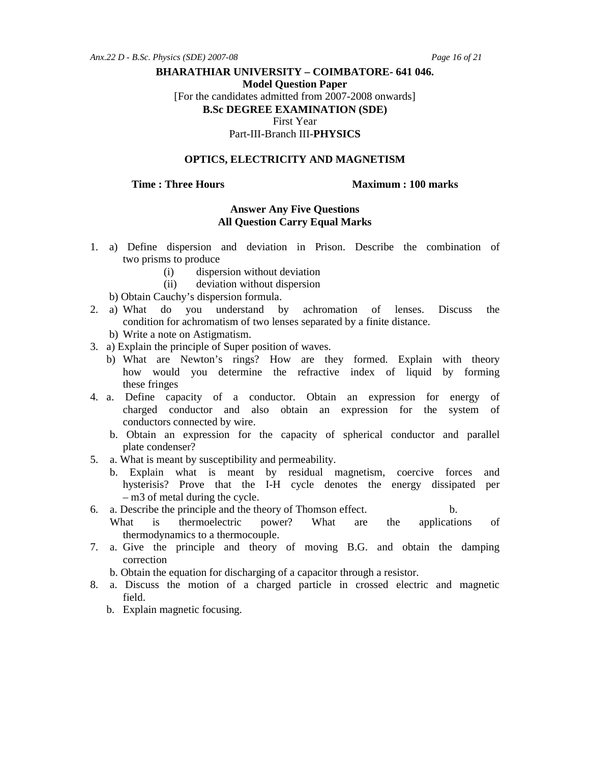**Model Question Paper** 

[For the candidates admitted from 2007-2008 onwards]

**B.Sc DEGREE EXAMINATION (SDE)** 

First Year

Part-III-Branch III-**PHYSICS** 

# **OPTICS, ELECTRICITY AND MAGNETISM**

#### **Time : Three Hours**  Maximum : 100 marks

### **Answer Any Five Questions All Question Carry Equal Marks**

- 1. a) Define dispersion and deviation in Prison. Describe the combination of two prisms to produce
	- (i) dispersion without deviation
	- (ii) deviation without dispersion
- b) Obtain Cauchy's dispersion formula.<br>2. a) What do you understand b
- do you understand by achromation of lenses. Discuss the condition for achromatism of two lenses separated by a finite distance.
	- b) Write a note on Astigmatism.
- 3. a) Explain the principle of Super position of waves.
	- b) What are Newton's rings? How are they formed. Explain with theory how would you determine the refractive index of liquid by forming these fringes
- 4. a. Define capacity of a conductor. Obtain an expression for energy of charged conductor and also obtain an expression for the system of conductors connected by wire.
	- b. Obtain an expression for the capacity of spherical conductor and parallel plate condenser?
- 5. a. What is meant by susceptibility and permeability.
	- b. Explain what is meant by residual magnetism, coercive forces and hysterisis? Prove that the I-H cycle denotes the energy dissipated per – m3 of metal during the cycle.
- 6. a. Describe the principle and the theory of Thomson effect. b.
	- What is thermoelectric power? What are the applications of thermodynamics to a thermocouple.
- 7. a. Give the principle and theory of moving B.G. and obtain the damping correction
	- b. Obtain the equation for discharging of a capacitor through a resistor.
- 8. a. Discuss the motion of a charged particle in crossed electric and magnetic field.
	- b. Explain magnetic focusing.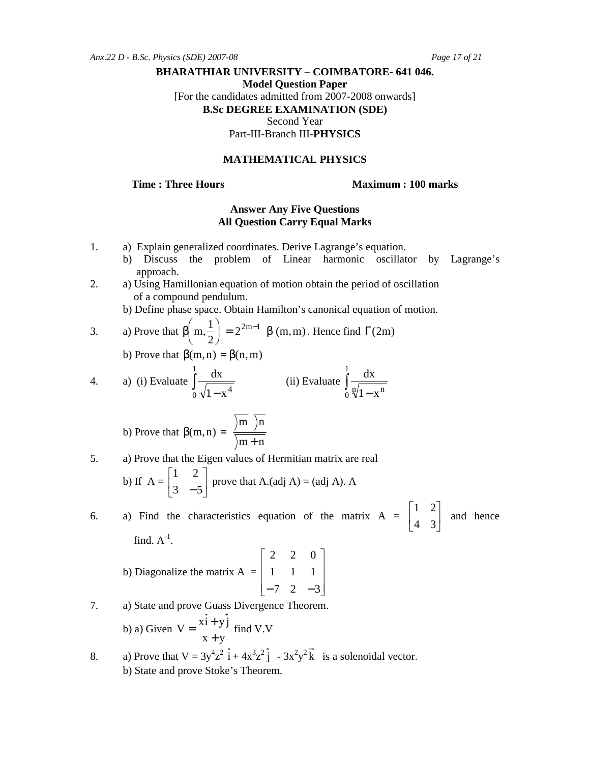**Model Question Paper** 

[For the candidates admitted from 2007-2008 onwards]

**B.Sc DEGREE EXAMINATION (SDE)** 

Second Year

Part-III-Branch III-**PHYSICS** 

## **MATHEMATICAL PHYSICS**

**Time : Three Hours Maximum : 100 marks** 

# **Answer Any Five Questions All Question Carry Equal Marks**

- 1. a) Explain generalized coordinates. Derive Lagrange's equation.
	- b) Discuss the problem of Linear harmonic oscillator by Lagrange's approach.
- 2. a) Using Hamillonian equation of motion obtain the period of oscillation of a compound pendulum.
	- b) Define phase space. Obtain Hamilton's canonical equation of motion.

3. a) Prove that 
$$
\beta\left(m, \frac{1}{2}\right) = 2^{2m-1} \beta(m, m)
$$
. Hence find  $\Gamma(2m)$ 

b) Prove that 
$$
\beta(m, n) = \beta(n, m)
$$

4. a) (i) Evaluate 
$$
\int_{0}^{1} \frac{dx}{\sqrt{1-x^4}}
$$
 (ii) Evaluate  $\int_{0}^{1} \frac{dx}{\sqrt[3]{1-x^n}}$ 

b) Prove that 
$$
\beta(m,n) = \frac{\overline{m} \ \overline{n}}{\overline{m} + \overline{n}}
$$

5. a) Prove that the Eigen values of Hermitian matrix are real  
b) If 
$$
A = \begin{bmatrix} 1 & 2 \\ 3 & -5 \end{bmatrix}
$$
 prove that A.(adj A) = (adj A). A

6. a) Find the characteristics equation of the matrix  $A = \begin{bmatrix} 1 & 0 \\ 0 & 1 \end{bmatrix}$ 」 ⅂  $\mathsf{L}$ L Г 4 3 1 2 and hence find.  $A^{-1}$ .

b) Diagonalize the matrix A = 
$$
\begin{bmatrix} 2 & 2 & 0 \ 1 & 1 & 1 \ -7 & 2 & -3 \end{bmatrix}
$$

7. a) State and prove Guass Divergence Theorem.

b) a) Given 
$$
V = \frac{xi + yj}{x + y}
$$
 find V.V

8. a) Prove that  $V = 3y^4z^2 \vec{i} + 4x^3z^2 \vec{j} - 3x^2y^2\vec{k}$  is a solenoidal vector. b) State and prove Stoke's Theorem.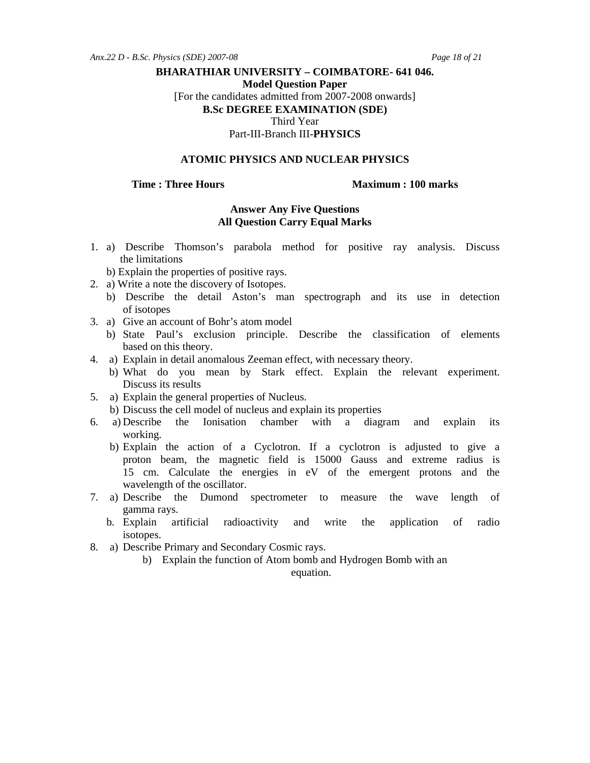**Model Question Paper** 

[For the candidates admitted from 2007-2008 onwards]

**B.Sc DEGREE EXAMINATION (SDE)** 

Third Year

Part-III-Branch III-**PHYSICS** 

#### **ATOMIC PHYSICS AND NUCLEAR PHYSICS**

#### **Time : Three Hours**  Maximum : 100 marks

#### **Answer Any Five Questions All Question Carry Equal Marks**

- 1. a) Describe Thomson's parabola method for positive ray analysis. Discuss the limitations
	- b) Explain the properties of positive rays.
- 2. a) Write a note the discovery of Isotopes.
	- b) Describe the detail Aston's man spectrograph and its use in detection of isotopes
- 3. a) Give an account of Bohr's atom model
	- b) State Paul's exclusion principle. Describe the classification of elements based on this theory.
- 4. a) Explain in detail anomalous Zeeman effect, with necessary theory.
	- b) What do you mean by Stark effect. Explain the relevant experiment. Discuss its results
- 5. a) Explain the general properties of Nucleus.
	- b) Discuss the cell model of nucleus and explain its properties
- 6. a) Describe the Ionisation chamber with a diagram and explain its working.
	- b) Explain the action of a Cyclotron. If a cyclotron is adjusted to give a proton beam, the magnetic field is 15000 Gauss and extreme radius is 15 cm. Calculate the energies in eV of the emergent protons and the wavelength of the oscillator.
- 7. a) Describe the Dumond spectrometer to measure the wave length of gamma rays.
	- b. Explain artificial radioactivity and write the application of radio isotopes.
- 8. a) Describe Primary and Secondary Cosmic rays.
	- b) Explain the function of Atom bomb and Hydrogen Bomb with an

equation.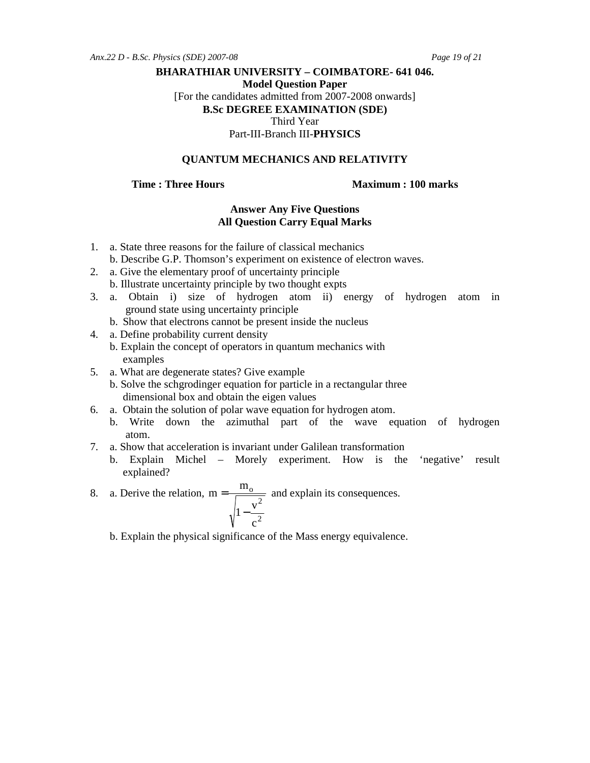*Anx.22 D - B.Sc. Physics (SDE) 2007-08 Page 19 of 21* 

### **BHARATHIAR UNIVERSITY – COIMBATORE- 641 046.**

**Model Question Paper** 

[For the candidates admitted from 2007-2008 onwards]

**B.Sc DEGREE EXAMINATION (SDE)** 

Third Year

Part-III-Branch III-**PHYSICS** 

# **QUANTUM MECHANICS AND RELATIVITY**

**Time : Three Hours**  Maximum : 100 marks

# **Answer Any Five Questions All Question Carry Equal Marks**

- 1. a. State three reasons for the failure of classical mechanics
	- b. Describe G.P. Thomson's experiment on existence of electron waves.
- 2. a. Give the elementary proof of uncertainty principle b. Illustrate uncertainty principle by two thought expts
- 3. a. Obtain i) size of hydrogen atom ii) energy of hydrogen atom in ground state using uncertainty principle
	- b. Show that electrons cannot be present inside the nucleus
- 4. a. Define probability current density
	- b. Explain the concept of operators in quantum mechanics with examples
- 5. a. What are degenerate states? Give example
	- b. Solve the schgrodinger equation for particle in a rectangular three dimensional box and obtain the eigen values
- 6. a. Obtain the solution of polar wave equation for hydrogen atom.
	- b. Write down the azimuthal part of the wave equation of hydrogen atom.
- 7. a. Show that acceleration is invariant under Galilean transformation
	- b. Explain Michel Morely experiment. How is the 'negative' result explained?
- 8. a. Derive the relation, 2 2 o c  $1-\frac{v}{v}$  $m = \frac{m}{\sqrt{m}}$ −  $=\frac{m_0}{\sqrt{m_0}}$  and explain its consequences.
	- b. Explain the physical significance of the Mass energy equivalence.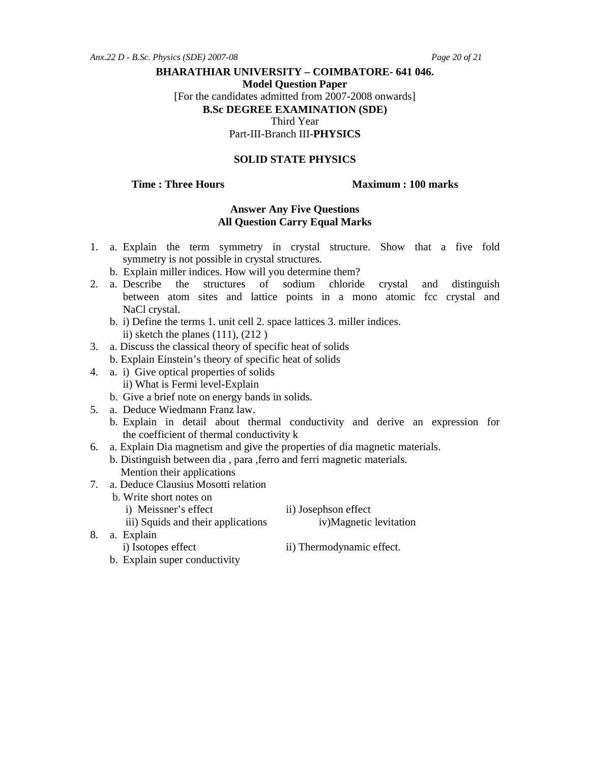**Model Question Paper** 

[For the candidates admitted from 2007-2008 onwards]

**B.Sc DEGREE EXAMINATION (SDE)** 

Third Year

Part-III-Branch III-**PHYSICS** 

## **SOLID STATE PHYSICS**

#### **Time : Three Hours**  Maximum : 100 marks

# **Answer Any Five Questions All Question Carry Equal Marks**

- 1. a. Explain the term symmetry in crystal structure. Show that a five fold symmetry is not possible in crystal structures.
	- b. Explain miller indices. How will you determine them?
- 2. a. Describe the structures of sodium chloride crystal and distinguish between atom sites and lattice points in a mono atomic fcc crystal and NaCl crystal.
	- b. i) Define the terms 1. unit cell 2. space lattices 3. miller indices. ii) sketch the planes  $(111)$ ,  $(212)$
- 3. a. Discuss the classical theory of specific heat of solids b. Explain Einstein's theory of specific heat of solids
- 4. a. i) Give optical properties of solids ii) What is Fermi level-Explain
	- b. Give a brief note on energy bands in solids.
- 5. a. Deduce Wiedmann Franz law.
	- b. Explain in detail about thermal conductivity and derive an expression for the coefficient of thermal conductivity k
- 6. a. Explain Dia magnetism and give the properties of dia magnetic materials.
	- b. Distinguish between dia , para ,ferro and ferri magnetic materials. Mention their applications
- 7. a. Deduce Clausius Mosotti relation
	- b. Write short notes on
		- i) Meissner's effect ii) Josephson effect

iii) Squids and their applications iv)Magnetic levitation

- 8. a. Explain
	-
	- i) Isotopes effect ii) Thermodynamic effect.
	- b. Explain super conductivity